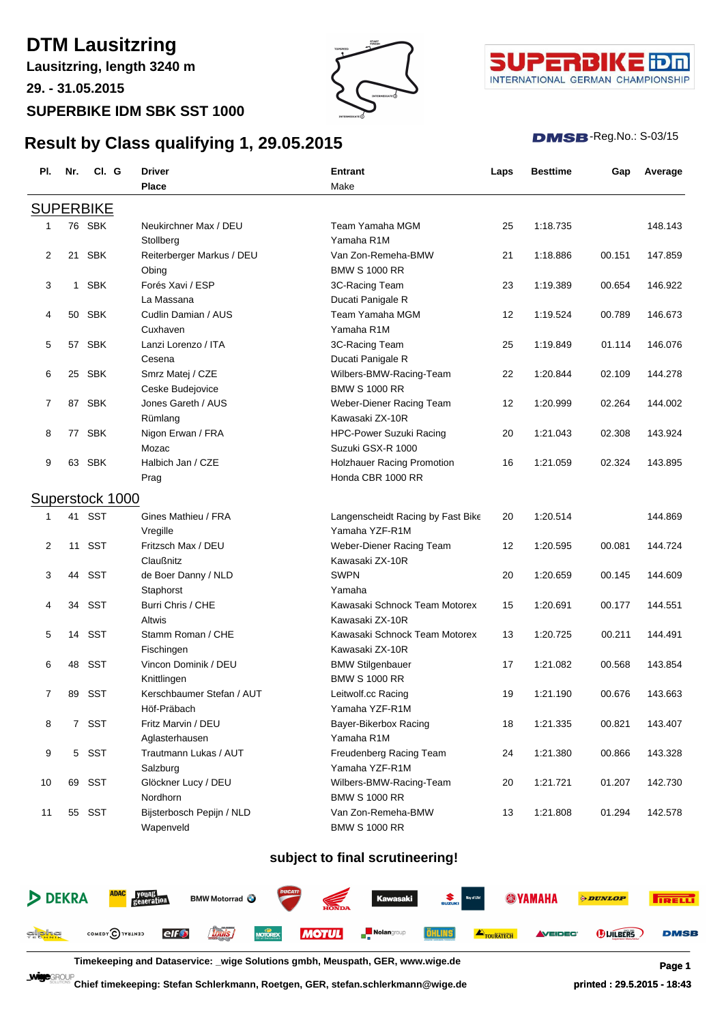## **DTM Lausitzring**

**Lausitzring, length 3240 m**

**29. - 31.05.2015**

### **SUPERBIKE IDM SBK SST 1000**

**Result by Class qualifying 1, 29.05.2015**



**Pl. Nr. Cl. G Driver Entrant Laps Besttime Gap Average**



#### **DMSB**-Reg.No.: S-03/15

|                |    |                  | <b>Place</b>              | Make                              |    |          |        |         |
|----------------|----|------------------|---------------------------|-----------------------------------|----|----------|--------|---------|
|                |    | <b>SUPERBIKE</b> |                           |                                   |    |          |        |         |
|                |    | 76 SBK           | Neukirchner Max / DEU     | Team Yamaha MGM                   | 25 | 1:18.735 |        | 148.143 |
|                |    |                  | Stollberg                 | Yamaha R1M                        |    |          |        |         |
| 2              | 21 | <b>SBK</b>       | Reiterberger Markus / DEU | Van Zon-Remeha-BMW                | 21 | 1:18.886 | 00.151 | 147.859 |
|                |    |                  | Obing                     | <b>BMW S 1000 RR</b>              |    |          |        |         |
| 3              | 1  | <b>SBK</b>       | Forés Xavi / ESP          | 3C-Racing Team                    | 23 | 1:19.389 | 00.654 | 146.922 |
|                |    |                  | La Massana                | Ducati Panigale R                 |    |          |        |         |
| 4              | 50 | <b>SBK</b>       | Cudlin Damian / AUS       | Team Yamaha MGM                   | 12 | 1:19.524 | 00.789 | 146.673 |
|                |    |                  | Cuxhaven                  | Yamaha R1M                        |    |          |        |         |
| 5              |    | 57 SBK           | Lanzi Lorenzo / ITA       | 3C-Racing Team                    | 25 | 1:19.849 | 01.114 | 146.076 |
|                |    |                  | Cesena                    | Ducati Panigale R                 |    |          |        |         |
| 6              |    | 25 SBK           | Smrz Matej / CZE          | Wilbers-BMW-Racing-Team           | 22 | 1:20.844 | 02.109 | 144.278 |
|                |    |                  | Ceske Budejovice          | <b>BMW S 1000 RR</b>              |    |          |        |         |
| 7              |    | 87 SBK           | Jones Gareth / AUS        | Weber-Diener Racing Team          | 12 | 1:20.999 | 02.264 | 144.002 |
|                |    |                  | Rümlang                   | Kawasaki ZX-10R                   |    |          |        |         |
| 8              | 77 | <b>SBK</b>       | Nigon Erwan / FRA         | <b>HPC-Power Suzuki Racing</b>    | 20 | 1:21.043 | 02.308 | 143.924 |
|                |    |                  | Mozac                     | Suzuki GSX-R 1000                 |    |          |        |         |
| 9              |    | 63 SBK           | Halbich Jan / CZE         | <b>Holzhauer Racing Promotion</b> | 16 | 1:21.059 | 02.324 | 143.895 |
|                |    |                  | Prag                      | Honda CBR 1000 RR                 |    |          |        |         |
|                |    | Superstock 1000  |                           |                                   |    |          |        |         |
|                | 41 | <b>SST</b>       | Gines Mathieu / FRA       | Langenscheidt Racing by Fast Bike | 20 | 1:20.514 |        | 144.869 |
|                |    |                  | Vregille                  | Yamaha YZF-R1M                    |    |          |        |         |
| $\overline{2}$ | 11 | <b>SST</b>       | Fritzsch Max / DEU        | Weber-Diener Racing Team          | 12 | 1:20.595 | 00.081 | 144.724 |
|                |    |                  | Claußnitz                 | Kawasaki ZX-10R                   |    |          |        |         |
| 3              | 44 | <b>SST</b>       | de Boer Danny / NLD       | <b>SWPN</b>                       | 20 | 1:20.659 | 00.145 | 144.609 |
|                |    |                  | Staphorst                 | Yamaha                            |    |          |        |         |
| 4              | 34 | <b>SST</b>       | Burri Chris / CHE         | Kawasaki Schnock Team Motorex     | 15 | 1:20.691 | 00.177 | 144.551 |
|                |    |                  | Altwis                    | Kawasaki ZX-10R                   |    |          |        |         |
| 5              | 14 | <b>SST</b>       | Stamm Roman / CHE         | Kawasaki Schnock Team Motorex     | 13 | 1:20.725 | 00.211 | 144.491 |
|                |    |                  | Fischingen                | Kawasaki ZX-10R                   |    |          |        |         |

### **subject to final scrutineering!**

6 48 SST Vincon Dominik / DEU BMW Stilgenbauer 17 1:21.082 00.568 143.854

7 89 SST Kerschbaumer Stefan / AUT Leitwolf.cc Racing 19 1:21.190 00.676 143.663

8 7 SST Fritz Marvin / DEU Bayer-Bikerbox Racing 18 1:21.335 00.821 143.407

9 5 SST Trautmann Lukas / AUT Freudenberg Racing Team 24 1:21.380 00.866 143.328

10 69 SST Glöckner Lucy / DEU Wilbers-BMW-Racing-Team 20 1:21.721 01.207 142.730

11 55 SST Bijsterbosch Pepijn / NLD Van Zon-Remeha-BMW 13 1:21.808 01.294 142.578

|                      | DEKRA <b>ADAC</b> FOUND BMW Motorrad  BMW Motorrad  BMW Motorrad  BMW Motorrad  BMW Motorrad  BMW Motorrad  BMW Motorrad  BMW Motorrad  BMW Motorrad  BMW Motorrad  BMW Motorrad  BMW Motorrad  BMW Motorrad  BMW Motorrad  BMW Mot |  |  |  |  | <b><i>DUNLOP</i></b> | <b>TRELL</b> |
|----------------------|-------------------------------------------------------------------------------------------------------------------------------------------------------------------------------------------------------------------------------------|--|--|--|--|----------------------|--------------|
| gl <mark>icha</mark> | COMEDY CITY THE CHEO <b>AND THE MOTUL ENGLACED TO AND AND THE CONSTRUCT CONTRACT CONTRACT CHEORE</b>                                                                                                                                |  |  |  |  | <b>DUILBERS</b>      | <b>DMSB</b>  |

**Timekeeping and Dataservice: \_wige Solutions gmbh, Meuspath, GER, www.wige.de Page 1**

Knittlingen BMW S 1000 RR

Höf-Präbach Yamaha YZF-R1M

Salzburg Yamaha YZF-R1M

Nordhorn BMW S 1000 RR

Wapenveld BMW S 1000 RR

Aglasterhausen Yamaha R1M

**Chief timekeeping: Stefan Schlerkmann, Roetgen, GER, stefan.schlerkmann@wige.de printed : 29.5.2015 - 18:43**